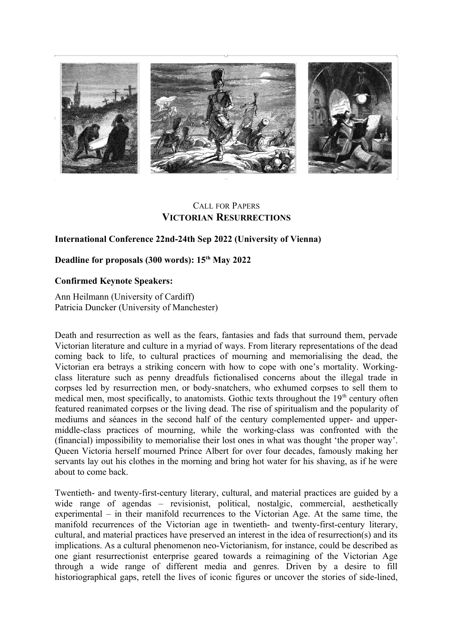

# CALL FOR PAPERS **VICTORIAN RESURRECTIONS**

## **International Conference 22nd-24th Sep 2022 (University of Vienna)**

## **Deadline for proposals (300 words): 15th May 2022**

### **Confirmed Keynote Speakers:**

Ann Heilmann (University of Cardiff) Patricia Duncker (University of Manchester)

Death and resurrection as well as the fears, fantasies and fads that surround them, pervade Victorian literature and culture in a myriad of ways. From literary representations of the dead coming back to life, to cultural practices of mourning and memorialising the dead, the Victorian era betrays a striking concern with how to cope with one's mortality. Workingclass literature such as penny dreadfuls fictionalised concerns about the illegal trade in corpses led by resurrection men, or body-snatchers, who exhumed corpses to sell them to medical men, most specifically, to anatomists. Gothic texts throughout the  $19<sup>th</sup>$  century often featured reanimated corpses or the living dead. The rise of spiritualism and the popularity of mediums and séances in the second half of the century complemented upper- and uppermiddle-class practices of mourning, while the working-class was confronted with the (financial) impossibility to memorialise their lost ones in what was thought 'the proper way'. Queen Victoria herself mourned Prince Albert for over four decades, famously making her servants lay out his clothes in the morning and bring hot water for his shaving, as if he were about to come back.

Twentieth- and twenty-first-century literary, cultural, and material practices are guided by a wide range of agendas – revisionist, political, nostalgic, commercial, aesthetically experimental – in their manifold recurrences to the Victorian Age. At the same time, the manifold recurrences of the Victorian age in twentieth- and twenty-first-century literary, cultural, and material practices have preserved an interest in the idea of resurrection(s) and its implications. As a cultural phenomenon neo-Victorianism, for instance, could be described as one giant resurrectionist enterprise geared towards a reimagining of the Victorian Age through a wide range of different media and genres. Driven by a desire to fill historiographical gaps, retell the lives of iconic figures or uncover the stories of side-lined,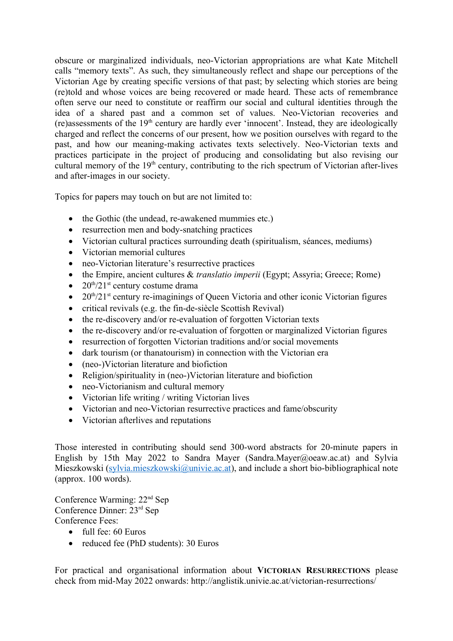obscure or marginalized individuals, neo-Victorian appropriations are what Kate Mitchell calls "memory texts". As such, they simultaneously reflect and shape our perceptions of the Victorian Age by creating specific versions of that past; by selecting which stories are being (re)told and whose voices are being recovered or made heard. These acts of remembrance often serve our need to constitute or reaffirm our social and cultural identities through the idea of a shared past and a common set of values. Neo-Victorian recoveries and (re)assessments of the  $19<sup>th</sup>$  century are hardly ever 'innocent'. Instead, they are ideologically charged and reflect the concerns of our present, how we position ourselves with regard to the past, and how our meaning-making activates texts selectively. Neo-Victorian texts and practices participate in the project of producing and consolidating but also revising our cultural memory of the 19<sup>th</sup> century, contributing to the rich spectrum of Victorian after-lives and after-images in our society.

Topics for papers may touch on but are not limited to:

- the Gothic (the undead, re-awakened mummies etc.)
- resurrection men and body-snatching practices
- Victorian cultural practices surrounding death (spiritualism, séances, mediums)
- Victorian memorial cultures
- neo-Victorian literature's resurrective practices
- the Empire, ancient cultures & *translatio imperii* (Egypt; Assyria; Greece; Rome)
- $20^{\text{th}}/21^{\text{st}}$  century costume drama
- $\bullet$  20<sup>th</sup>/21<sup>st</sup> century re-imaginings of Queen Victoria and other iconic Victorian figures
- $\bullet$  critical revivals (e.g. the fin-de-siècle Scottish Revival)
- the re-discovery and/or re-evaluation of forgotten Victorian texts
- the re-discovery and/or re-evaluation of forgotten or marginalized Victorian figures
- resurrection of forgotten Victorian traditions and/or social movements
- dark tourism (or thanatourism) in connection with the Victorian era
- (neo-)Victorian literature and biofiction
- Religion/spirituality in (neo-)Victorian literature and biofiction
- neo-Victorianism and cultural memory
- Victorian life writing / writing Victorian lives
- Victorian and neo-Victorian resurrective practices and fame/obscurity
- Victorian afterlives and reputations

Those interested in contributing should send 300-word abstracts for 20-minute papers in English by 15th May 2022 to Sandra Mayer (Sandra.Mayer@oeaw.ac.at) and Sylvia Mieszkowski [\(sylvia.mieszkowski@univie.ac.at\)](mailto:sylvia.mieszkowski@univie.ac.at), and include a short bio-bibliographical note (approx. 100 words).

Conference Warming: 22nd Sep Conference Dinner: 23rd Sep Conference Fees:

- full fee: 60 Euros
- reduced fee (PhD students): 30 Euros

For practical and organisational information about **VICTORIAN RESURRECTIONS** please check from mid-May 2022 onwards: http://anglistik.univie.ac.at/victorian-resurrections/